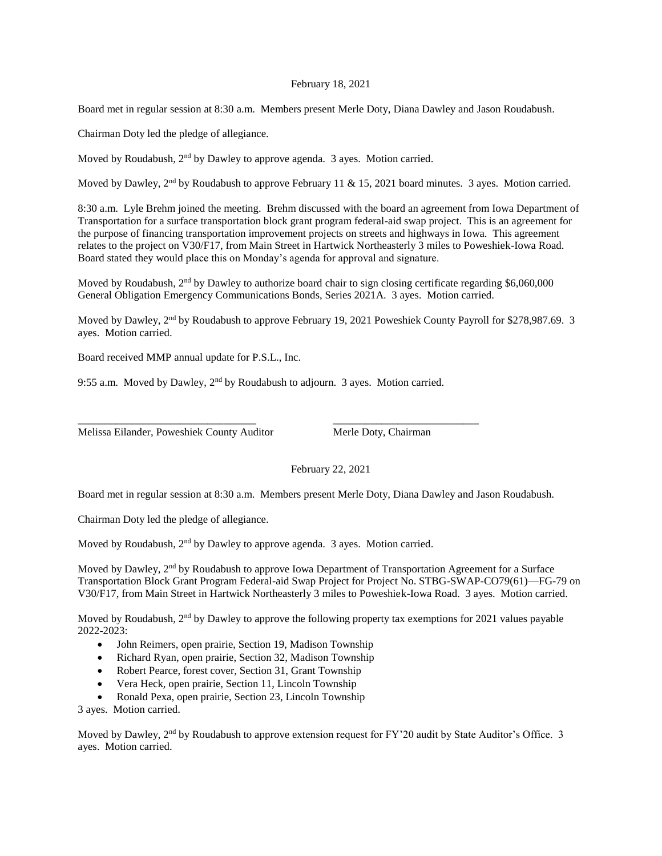## February 18, 2021

Board met in regular session at 8:30 a.m. Members present Merle Doty, Diana Dawley and Jason Roudabush.

Chairman Doty led the pledge of allegiance.

Moved by Roudabush,  $2<sup>nd</sup>$  by Dawley to approve agenda. 3 ayes. Motion carried.

Moved by Dawley,  $2<sup>nd</sup>$  by Roudabush to approve February 11 & 15, 2021 board minutes. 3 ayes. Motion carried.

8:30 a.m. Lyle Brehm joined the meeting. Brehm discussed with the board an agreement from Iowa Department of Transportation for a surface transportation block grant program federal-aid swap project. This is an agreement for the purpose of financing transportation improvement projects on streets and highways in Iowa. This agreement relates to the project on V30/F17, from Main Street in Hartwick Northeasterly 3 miles to Poweshiek-Iowa Road. Board stated they would place this on Monday's agenda for approval and signature.

Moved by Roudabush,  $2<sup>nd</sup>$  by Dawley to authorize board chair to sign closing certificate regarding \$6,060,000 General Obligation Emergency Communications Bonds, Series 2021A. 3 ayes. Motion carried.

Moved by Dawley, 2<sup>nd</sup> by Roudabush to approve February 19, 2021 Poweshiek County Payroll for \$278,987.69. 3 ayes. Motion carried.

Board received MMP annual update for P.S.L., Inc.

9:55 a.m. Moved by Dawley, 2nd by Roudabush to adjourn. 3 ayes. Motion carried.

\_\_\_\_\_\_\_\_\_\_\_\_\_\_\_\_\_\_\_\_\_\_\_\_\_\_\_\_\_\_\_\_\_ \_\_\_\_\_\_\_\_\_\_\_\_\_\_\_\_\_\_\_\_\_\_\_\_\_\_\_

Melissa Eilander, Poweshiek County Auditor Merle Doty, Chairman

February 22, 2021

Board met in regular session at 8:30 a.m. Members present Merle Doty, Diana Dawley and Jason Roudabush.

Chairman Doty led the pledge of allegiance.

Moved by Roudabush,  $2<sup>nd</sup>$  by Dawley to approve agenda. 3 ayes. Motion carried.

Moved by Dawley, 2<sup>nd</sup> by Roudabush to approve Iowa Department of Transportation Agreement for a Surface Transportation Block Grant Program Federal-aid Swap Project for Project No. STBG-SWAP-CO79(61)—FG-79 on V30/F17, from Main Street in Hartwick Northeasterly 3 miles to Poweshiek-Iowa Road. 3 ayes. Motion carried.

Moved by Roudabush,  $2<sup>nd</sup>$  by Dawley to approve the following property tax exemptions for 2021 values payable 2022-2023:

- John Reimers, open prairie, Section 19, Madison Township
- Richard Ryan, open prairie, Section 32, Madison Township
- Robert Pearce, forest cover, Section 31, Grant Township
- Vera Heck, open prairie, Section 11, Lincoln Township
- Ronald Pexa, open prairie, Section 23, Lincoln Township

3 ayes. Motion carried.

Moved by Dawley,  $2<sup>nd</sup>$  by Roudabush to approve extension request for FY'20 audit by State Auditor's Office. 3 ayes. Motion carried.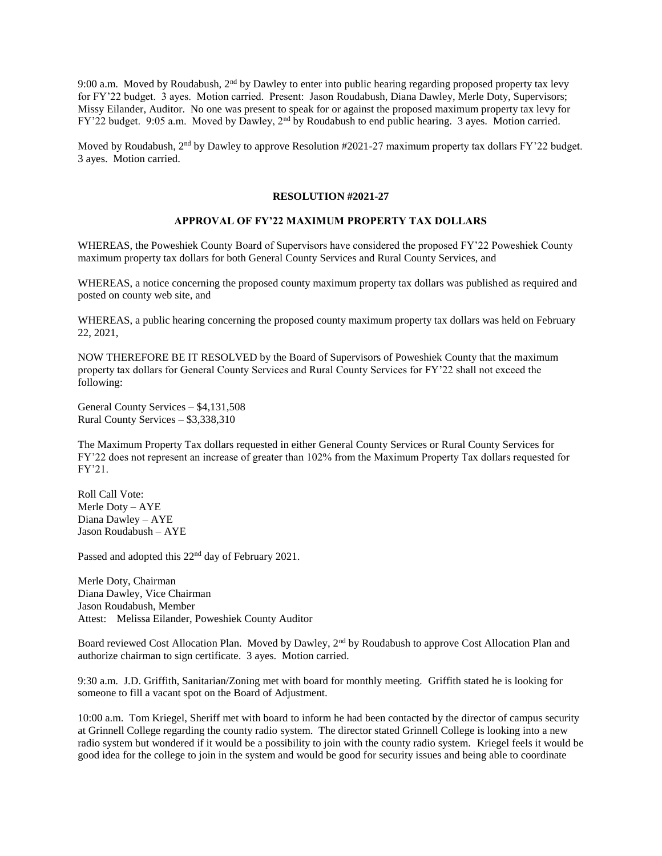9:00 a.m. Moved by Roudabush, 2<sup>nd</sup> by Dawley to enter into public hearing regarding proposed property tax levy for FY'22 budget. 3 ayes. Motion carried. Present: Jason Roudabush, Diana Dawley, Merle Doty, Supervisors; Missy Eilander, Auditor. No one was present to speak for or against the proposed maximum property tax levy for FY'22 budget. 9:05 a.m. Moved by Dawley, 2nd by Roudabush to end public hearing. 3 ayes. Motion carried.

Moved by Roudabush,  $2^{nd}$  by Dawley to approve Resolution #2021-27 maximum property tax dollars FY'22 budget. 3 ayes. Motion carried.

## **RESOLUTION #2021-27**

## **APPROVAL OF FY'22 MAXIMUM PROPERTY TAX DOLLARS**

WHEREAS, the Poweshiek County Board of Supervisors have considered the proposed FY'22 Poweshiek County maximum property tax dollars for both General County Services and Rural County Services, and

WHEREAS, a notice concerning the proposed county maximum property tax dollars was published as required and posted on county web site, and

WHEREAS, a public hearing concerning the proposed county maximum property tax dollars was held on February 22, 2021,

NOW THEREFORE BE IT RESOLVED by the Board of Supervisors of Poweshiek County that the maximum property tax dollars for General County Services and Rural County Services for FY'22 shall not exceed the following:

General County Services – \$4,131,508 Rural County Services – \$3,338,310

The Maximum Property Tax dollars requested in either General County Services or Rural County Services for FY'22 does not represent an increase of greater than 102% from the Maximum Property Tax dollars requested for FY'21.

Roll Call Vote: Merle Doty – AYE Diana Dawley – AYE Jason Roudabush – AYE

Passed and adopted this 22<sup>nd</sup> day of February 2021.

Merle Doty, Chairman Diana Dawley, Vice Chairman Jason Roudabush, Member Attest: Melissa Eilander, Poweshiek County Auditor

Board reviewed Cost Allocation Plan. Moved by Dawley, 2<sup>nd</sup> by Roudabush to approve Cost Allocation Plan and authorize chairman to sign certificate. 3 ayes. Motion carried.

9:30 a.m. J.D. Griffith, Sanitarian/Zoning met with board for monthly meeting. Griffith stated he is looking for someone to fill a vacant spot on the Board of Adjustment.

10:00 a.m. Tom Kriegel, Sheriff met with board to inform he had been contacted by the director of campus security at Grinnell College regarding the county radio system. The director stated Grinnell College is looking into a new radio system but wondered if it would be a possibility to join with the county radio system. Kriegel feels it would be good idea for the college to join in the system and would be good for security issues and being able to coordinate